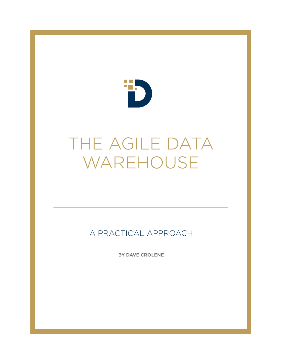

# THE AGILE DATA WAREHOUSE

A PRACTICAL APPROACH

**BY DAVE CROLENE**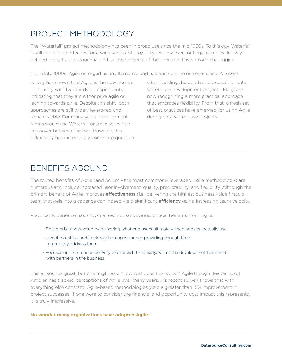### PROJECT METHODOLOGY

The "Waterfall" project methodology has been in broad use since the mid-1950s. To this day, Waterfall is still considered effective for a wide variety of project types. However, for large, complex, looselydefined projects, the sequential and isolated aspects of the approach have proven challenging.

In the late 1990s, Agile emerged as an alternative and has been on the rise ever since. A recent

survey has shown that Agile is the new normal in industry with two thirds of respondents indicating that they are either pure agile or leaning towards agile. Despite this shift, both approaches are still widely leveraged and remain viable. For many years, development teams would use Waterfall or Agile, with little crossover between the two. However, this inflexibility has increasingly come into question when tackling the depth and breadth of data warehouse development projects. Many are now recognizing a more practical approach that embraces flexibility. From that, a fresh set of best practices have emerged for using Agile during data warehouse projects.

### BENEFITS ABOUND

The touted benefits of Agile (and Scrum - the most commonly leveraged Agile methodology) are numerous and include increased user involvement, quality, predictability, and flexibility. Although the primary benefit of Agile improves *effectiveness* (i.e., delivering the highest business value first), a team that gels into a cadence can indeed yield significant **efficiency** gains, increasing team velocity.

Practical experience has shown a few, not so obvious, critical benefits from Agile:

- Provides business value by delivering what end users ultimately need and can actually use
- Identifies critical architectural challenges sooner, providing enough time to properly address them
- Focuses on incremental delivery to establish trust early, within the development team and with partners in the business

This all sounds great, but one might ask, "How well does this work?" Agile thought leader, Scott Ambler, has tracked perceptions of Agile over many years. His recent survey shows that with everything else constant, Agile-based methodologies yield a greater than 15% improvement in project successes. If one were to consider the financial and opportunity cost impact this represents, it is truly impressive.

#### **No wonder many organizations have adopted Agile.**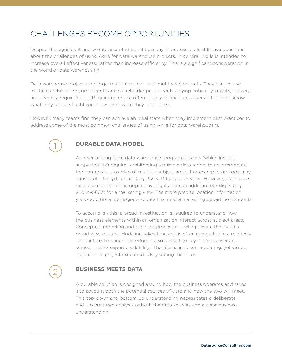### CHALLENGES BECOME OPPORTUNITIES

Despite the significant and widely accepted benefits, many IT professionals still have questions about the challenges of using Agile for data warehouse projects. In general, Agile is intended to increase overall effectiveness, rather than increase efficiency. This is a significant consideration in the world of data warehousing.

Data warehouse projects are large, multi-month or even multi-year, projects. They can involve multiple architecture components and stakeholder groups with varying criticality, quality, delivery, and security requirements. Requirements are often loosely defined, and users often don't know what they do need until you show them what they don't need.

However, many teams find they can achieve an ideal state when they implement best practices to address some of the most common challenges of using Agile for data warehousing.



#### **DURABLE DATA MODEL**

A driver of long-term data warehouse program success (which includes supportability) requires architecting a durable data model to accommodate the non-obvious overlap of multiple subject areas. For example, zip code may consist of a 5-digit format (e.g., 92024) for a sales view. However, a zip code may also consist of the original five digits plan an addition four digits (e.g., 92024-5667) for a marketing view. The more precise location information yields additional demographic detail to meet a marketing department's needs.

To accomplish this, a broad investigation is required to understand how the business elements within an organization interact across subject areas. Conceptual modeling and business process modeling ensure that such a broad view occurs. Modeling takes time and is often conducted in a relatively unstructured manner. The effort is also subject to key business user and subject matter expert availability. Therefore, an accommodating, yet visible, approach to project execution is key during this effort.

### 2

#### **BUSINESS MEETS DATA**

A durable solution is designed around how the business operates and takes into account both the potential sources of data and how the two will meet. This top-down and bottom-up understanding necessitates a deliberate and unstructured analysis of both the data sources and a clear business understanding.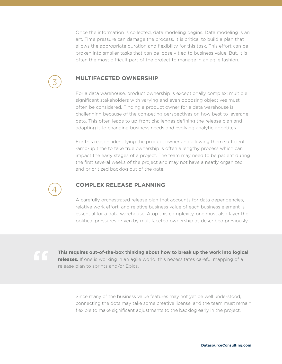Once the information is collected, data modeling begins. Data modeling is an art. Time pressure can damage the process. It is critical to build a plan that allows the appropriate duration and flexibility for this task. This effort can be broken into smaller tasks that can be loosely tied to business value. But, it is often the most difficult part of the project to manage in an agile fashion.

### 3

#### **MULTIFACETED OWNERSHIP**

For a data warehouse, product ownership is exceptionally complex; multiple significant stakeholders with varying and even opposing objectives must often be considered. Finding a product owner for a data warehouse is challenging because of the competing perspectives on how best to leverage data. This often leads to up-front challenges defining the release plan and adapting it to changing business needs and evolving analytic appetites.

For this reason, identifying the product owner and allowing them sufficient ramp-up time to take true ownership is often a lengthy process which can impact the early stages of a project. The team may need to be patient during the first several weeks of the project and may not have a neatly organized and prioritized backlog out of the gate.

### 4

#### **COMPLEX RELEASE PLANNING**

A carefully orchestrated release plan that accounts for data dependencies, relative work effort, and relative business value of each business element is essential for a data warehouse. Atop this complexity, one must also layer the political pressures driven by multifaceted ownership as described previously.



**This requires out-of-the-box thinking about how to break up the work into logical releases.** If one is working in an agile world, this necessitates careful mapping of a release plan to sprints and/or Epics.

Since many of the business value features may not yet be well understood, connecting the dots may take some creative license, and the team must remain flexible to make significant adjustments to the backlog early in the project.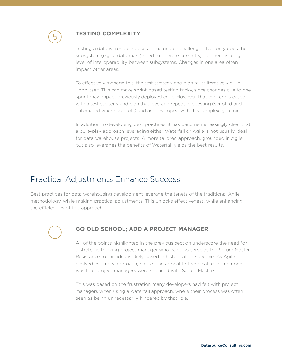

#### **TESTING COMPLEXITY**

Testing a data warehouse poses some unique challenges. Not only does the subsystem (e.g., a data mart) need to operate correctly, but there is a high level of interoperability between subsystems. Changes in one area often impact other areas.

To effectively manage this, the test strategy and plan must iteratively build upon itself. This can make sprint-based testing tricky, since changes due to one sprint may impact previously deployed code. However, that concern is eased with a test strategy and plan that leverage repeatable testing (scripted and automated where possible) and are developed with this complexity in mind.

In addition to developing best practices, it has become increasingly clear that a pure-play approach leveraging either Waterfall or Agile is not usually ideal for data warehouse projects. A more tailored approach, grounded in Agile but also leverages the benefits of Waterfall yields the best results.

#### Practical Adjustments Enhance Success

Best practices for data warehousing development leverage the tenets of the traditional Agile methodology, while making practical adjustments. This unlocks effectiveness, while enhancing the efficiencies of this approach.

1

#### **GO OLD SCHOOL; ADD A PROJECT MANAGER**

All of the points highlighted in the previous section underscore the need for a strategic thinking project manager who can also serve as the Scrum Master. Resistance to this idea is likely based in historical perspective. As Agile evolved as a new approach, part of the appeal to technical team members was that project managers were replaced with Scrum Masters.

This was based on the frustration many developers had felt with project managers when using a waterfall approach, where their process was often seen as being unnecessarily hindered by that role.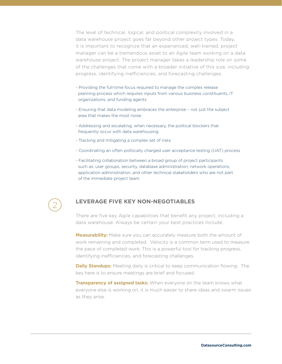The level of technical, logical, and political complexity involved in a data warehouse project goes far beyond other project types. Today, it is important to recognize that an experienced, well-trained, project manager can be a tremendous asset to an Agile team working on a data warehouse project. The project manager takes a leadership role on some of the challenges that come with a broader initiative of this size, including: progress, identifying inefficiencies, and forecasting challenges.

- Providing the full-time focus required to manage the complex release planning process which requires inputs from various business constituents, IT organizations, and funding agents
- Ensuring that data modeling embraces the enterprise not just the subject area that makes the most noise
- Addressing and escalating, when necessary, the political blockers that frequently occur with data warehousing
- Tracking and mitigating a complex set of risks
- Coordinating an often politically charged user acceptance testing (UAT) process
- Facilitating collaboration between a broad group of project participants such as: user groups, security, database administration, network operations, application administration, and other technical stakeholders who are not part of the immediate project team



#### **LEVERAGE FIVE KEY NON-NEGOTIABLES**

There are five key Agile capabilities that benefit any project, including a data warehouse. Always be certain your best practices include:

**Measurability:** Make sure you can accurately measure both the amount of work remaining and completed. Velocity is a common term used to measure the pace of completed work. This is a powerful tool for tracking progress, identifying inefficiencies, and forecasting challenges.

**Daily Standups:** Meeting daily is critical to keep communication flowing. The key here is to ensure meetings are brief and focused.

**Transparency of assigned tasks:** When everyone on the team knows what everyone else is working on, it is much easier to share ideas and swarm issues as they arise.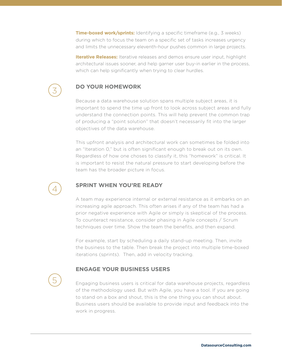**Time-boxed work/sprints:** Identifying a specific timeframe (e.g., 3 weeks) during which to focus the team on a specific set of tasks increases urgency and limits the unnecessary eleventh-hour pushes common in large projects.

**Iterative Releases:** Iterative releases and demos ensure user input, highlight architectural issues sooner, and help garner user buy-in earlier in the process, which can help significantly when trying to clear hurdles.

### 3

#### **DO YOUR HOMEWORK**

Because a data warehouse solution spans multiple subject areas, it is important to spend the time up front to look across subject areas and fully understand the connection points. This will help prevent the common trap of producing a "point solution" that doesn't necessarily fit into the larger objectives of the data warehouse.

This upfront analysis and architectural work can sometimes be folded into an "Iteration 0," but is often significant enough to break out on its own. Regardless of how one choses to classify it, this "homework" is critical. It is important to resist the natural pressure to start developing before the team has the broader picture in focus.

### 4

5

#### **SPRINT WHEN YOU'RE READY**

A team may experience internal or external resistance as it embarks on an increasing agile approach. This often arises if any of the team has had a prior negative experience with Agile or simply is skeptical of the process. To counteract resistance, consider phasing in Agile concepts / Scrum techniques over time. Show the team the benefits, and then expand.

For example, start by scheduling a daily stand-up meeting. Then, invite the business to the table. Then break the project into multiple time-boxed iterations (sprints). Then, add in velocity tracking.

#### **ENGAGE YOUR BUSINESS USERS**

Engaging business users is critical for data warehouse projects, regardless of the methodology used. But with Agile, you have a tool. If you are going to stand on a box and shout, this is the one thing you can shout about. Business users should be available to provide input and feedback into the work in progress.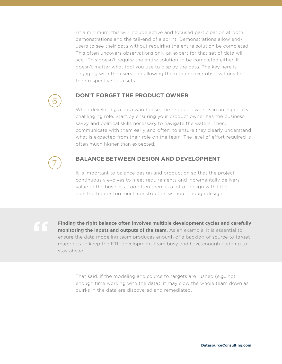At a minimum, this will include active and focused participation at both demonstrations and the tail-end of a sprint. Demonstrations allow endusers to see their data without requiring the entire solution be completed. This often uncovers observations only an expert for that set of data will see. This doesn't require the entire solution to be completed either. It doesn't matter what tool you use to display the data. The key here is engaging with the users and allowing them to uncover observations for their respective data sets.



#### **DON'T FORGET THE PRODUCT OWNER**

When developing a data warehouse, the product owner is in an especially challenging role. Start by ensuring your product owner has the business savvy and political skills necessary to navigate the waters. Then, communicate with them early and often, to ensure they clearly understand what is expected from their role on the team. The level of effort required is often much higher than expected.

## 7

#### **BALANCE BETWEEN DESIGN AND DEVELOPMENT**

It is important to balance design and production so that the project continuously evolves to meet requirements and incrementally delivers value to the business. Too often there is a lot of design with little construction or too much construction without enough design.

**Finding the right balance often involves multiple development cycles and carefully monitoring the inputs and outputs of the team.** As an example, it is essential to ensure the data modeling team produces enough of a backlog of source to target mappings to keep the ETL development team busy and have enough padding to stay ahead.

That said, if the modeling and source to targets are rushed (e.g., not enough time working with the data), it may slow the whole team down as quirks in the data are discovered and remediated.